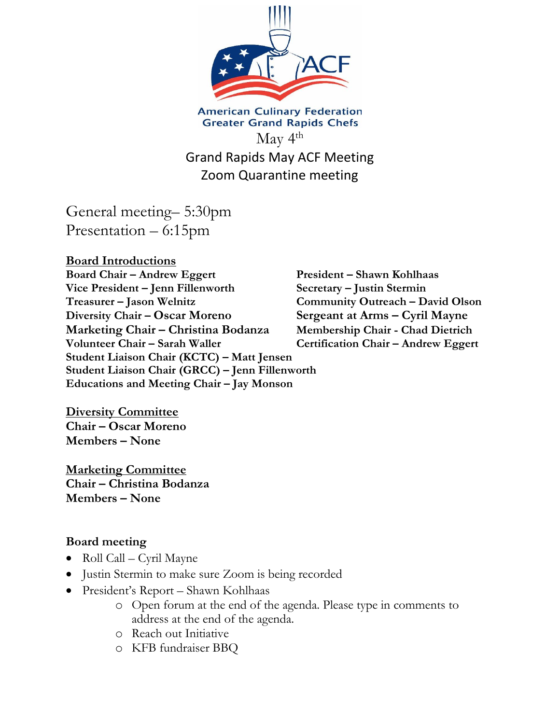

**American Culinary Federation Greater Grand Rapids Chefs**  $\rm{May}$  4<sup>th</sup> Grand Rapids May ACF Meeting Zoom Quarantine meeting

General meeting– 5:30pm Presentation – 6:15pm

**Board Introductions Board Chair – Andrew Eggert President – Shawn Kohlhaas Vice President – Jenn Fillenworth Secretary – Justin Stermin Treasurer – Jason Welnitz Community Outreach – David Olson Diversity Chair – Oscar Moreno Sergeant at Arms – Cyril Mayne Marketing Chair – Christina Bodanza Membership Chair - Chad Dietrich Volunteer Chair – Sarah Waller Certification Chair – Andrew Eggert Student Liaison Chair (KCTC) – Matt Jensen Student Liaison Chair (GRCC) – Jenn Fillenworth Educations and Meeting Chair – Jay Monson**

**Diversity Committee Chair – Oscar Moreno Members – None**

**Marketing Committee Chair – Christina Bodanza Members – None**

#### **Board meeting**

- Roll Call Cyril Mayne
- Justin Stermin to make sure Zoom is being recorded
- President's Report Shawn Kohlhaas
	- o Open forum at the end of the agenda. Please type in comments to address at the end of the agenda.
	- o Reach out Initiative
	- o KFB fundraiser BBQ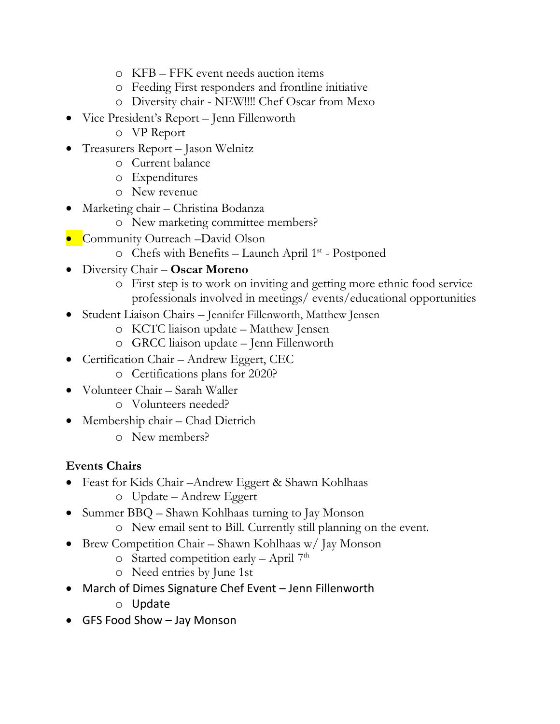- o KFB FFK event needs auction items
- o Feeding First responders and frontline initiative
- o Diversity chair NEW!!!! Chef Oscar from Mexo
- Vice President's Report Jenn Fillenworth
	- o VP Report
- Treasurers Report Jason Welnitz
	- o Current balance
	- o Expenditures
	- o New revenue
- Marketing chair Christina Bodanza
	- o New marketing committee members?
- Community Outreach –David Olson
	- o Chefs with Benefits Launch April 1<sup>st</sup> Postponed
- Diversity Chair **Oscar Moreno**
	- o First step is to work on inviting and getting more ethnic food service professionals involved in meetings/ events/educational opportunities
- Student Liaison Chairs Jennifer Fillenworth, Matthew Jensen
	- o KCTC liaison update Matthew Jensen
	- o GRCC liaison update Jenn Fillenworth
- Certification Chair Andrew Eggert, CEC
	- o Certifications plans for 2020?
- Volunteer Chair Sarah Waller
	- o Volunteers needed?
- Membership chair Chad Dietrich
	- o New members?

### **Events Chairs**

- Feast for Kids Chair –Andrew Eggert & Shawn Kohlhaas
	- o Update Andrew Eggert
- Summer BBQ Shawn Kohlhaas turning to Jay Monson
	- o New email sent to Bill. Currently still planning on the event.
- Brew Competition Chair Shawn Kohlhaas w/ Jay Monson
	- $\circ$  Started competition early April 7<sup>th</sup>
	- o Need entries by June 1st
- March of Dimes Signature Chef Event Jenn Fillenworth
	- o Update
- GFS Food Show Jay Monson